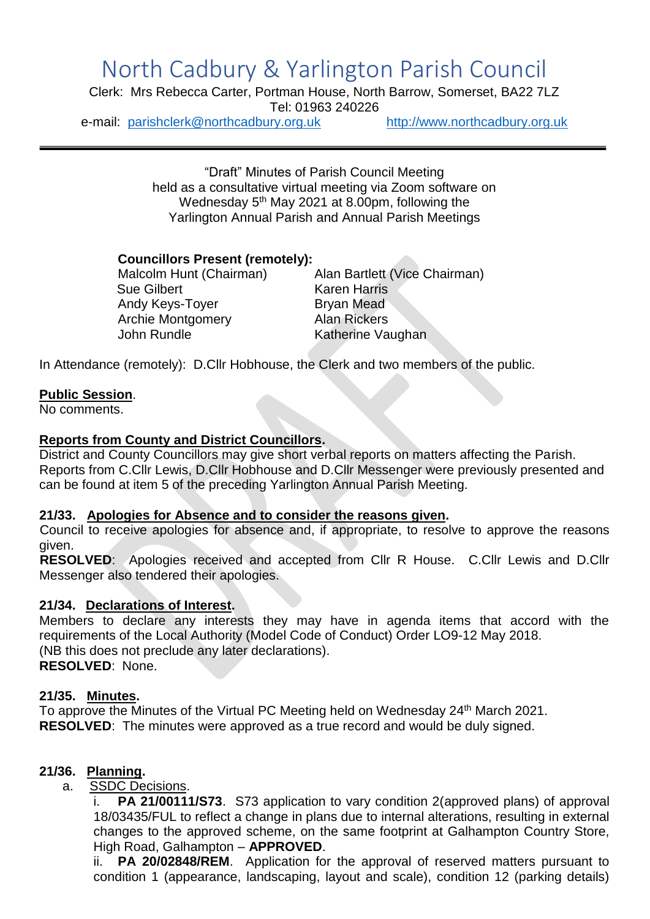# North Cadbury & Yarlington Parish Council

Clerk: Mrs Rebecca Carter, Portman House, North Barrow, Somerset, BA22 7LZ Tel: 01963 240226

e-mail: [parishclerk@northcadbury.org.uk](mailto:parishclerk@northcadbury.org.uk) [http://www.northcadbury.org.uk](http://www.northcadbury.org.uk/)

"Draft" Minutes of Parish Council Meeting held as a consultative virtual meeting via Zoom software on Wednesday 5<sup>th</sup> May 2021 at 8.00pm, following the Yarlington Annual Parish and Annual Parish Meetings

## **Councillors Present (remotely):**

Sue Gilbert Karen Harris Andy Keys-Toyer Bryan Mead Archie Montgomery Alan Rickers John Rundle **Katherine Vaughan** 

Malcolm Hunt (Chairman) Alan Bartlett (Vice Chairman)

In Attendance (remotely): D.Cllr Hobhouse, the Clerk and two members of the public.

## **Public Session**.

No comments.

## **Reports from County and District Councillors.**

District and County Councillors may give short verbal reports on matters affecting the Parish. Reports from C.Cllr Lewis, D.Cllr Hobhouse and D.Cllr Messenger were previously presented and can be found at item 5 of the preceding Yarlington Annual Parish Meeting.

### **21/33. Apologies for Absence and to consider the reasons given.**

Council to receive apologies for absence and, if appropriate, to resolve to approve the reasons given.

**RESOLVED**: Apologies received and accepted from Cllr R House. C.Cllr Lewis and D.Cllr Messenger also tendered their apologies.

### **21/34. Declarations of Interest.**

Members to declare any interests they may have in agenda items that accord with the requirements of the Local Authority (Model Code of Conduct) Order LO9-12 May 2018. (NB this does not preclude any later declarations). **RESOLVED**: None.

### **21/35. Minutes.**

To approve the Minutes of the Virtual PC Meeting held on Wednesday 24<sup>th</sup> March 2021. **RESOLVED**: The minutes were approved as a true record and would be duly signed.

# **21/36. Planning.**

a. SSDC Decisions.

i. **PA 21/00111/S73**. S73 application to vary condition 2(approved plans) of approval 18/03435/FUL to reflect a change in plans due to internal alterations, resulting in external changes to the approved scheme, on the same footprint at Galhampton Country Store, High Road, Galhampton – **APPROVED**.

ii. **PA 20/02848/REM**. Application for the approval of reserved matters pursuant to condition 1 (appearance, landscaping, layout and scale), condition 12 (parking details)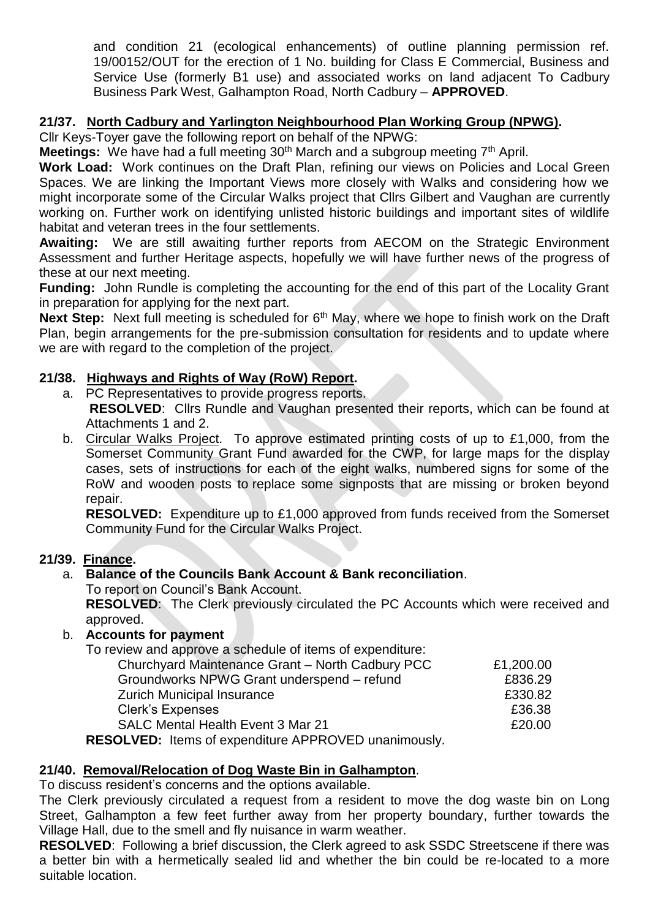and condition 21 (ecological enhancements) of outline planning permission ref. 19/00152/OUT for the erection of 1 No. building for Class E Commercial, Business and Service Use (formerly B1 use) and associated works on land adjacent To Cadbury Business Park West, Galhampton Road, North Cadbury – **APPROVED**.

## **21/37. North Cadbury and Yarlington Neighbourhood Plan Working Group (NPWG).**

Cllr Keys-Toyer gave the following report on behalf of the NPWG:

**Meetings:** We have had a full meeting 30<sup>th</sup> March and a subgroup meeting 7<sup>th</sup> April.

**Work Load:** Work continues on the Draft Plan, refining our views on Policies and Local Green Spaces. We are linking the Important Views more closely with Walks and considering how we might incorporate some of the Circular Walks project that Cllrs Gilbert and Vaughan are currently working on. Further work on identifying unlisted historic buildings and important sites of wildlife habitat and veteran trees in the four settlements.

**Awaiting:** We are still awaiting further reports from AECOM on the Strategic Environment Assessment and further Heritage aspects, hopefully we will have further news of the progress of these at our next meeting.

**Funding:** John Rundle is completing the accounting for the end of this part of the Locality Grant in preparation for applying for the next part.

**Next Step:** Next full meeting is scheduled for 6<sup>th</sup> May, where we hope to finish work on the Draft Plan, begin arrangements for the pre-submission consultation for residents and to update where we are with regard to the completion of the project.

## **21/38. Highways and Rights of Way (RoW) Report.**

- a. PC Representatives to provide progress reports. **RESOLVED**: Cllrs Rundle and Vaughan presented their reports, which can be found at Attachments 1 and 2.
- b. Circular Walks Project. To approve estimated printing costs of up to £1,000, from the Somerset Community Grant Fund awarded for the CWP, for large maps for the display cases, sets of instructions for each of the eight walks, numbered signs for some of the RoW and wooden posts to replace some signposts that are missing or broken beyond repair.

**RESOLVED:** Expenditure up to £1,000 approved from funds received from the Somerset Community Fund for the Circular Walks Project.

### **21/39. Finance.**

# a. **Balance of the Councils Bank Account & Bank reconciliation**.

To report on Council's Bank Account.

**RESOLVED**: The Clerk previously circulated the PC Accounts which were received and approved.

### b. **Accounts for payment**

To review and approve a schedule of items of expenditure:

| Churchyard Maintenance Grant - North Cadbury PCC    | £1,200.00 |
|-----------------------------------------------------|-----------|
| Groundworks NPWG Grant underspend - refund          | £836.29   |
| <b>Zurich Municipal Insurance</b>                   | £330.82   |
| <b>Clerk's Expenses</b>                             | £36.38    |
| <b>SALC Mental Health Event 3 Mar 21</b>            | £20.00    |
| $MID.$ Heme of expenditure $MDDDO VED$ uponimerable |           |

**RESOLVED:** Items of expenditure APPROVED unanimously.

# **21/40. Removal/Relocation of Dog Waste Bin in Galhampton**.

To discuss resident's concerns and the options available.

The Clerk previously circulated a request from a resident to move the dog waste bin on Long Street, Galhampton a few feet further away from her property boundary, further towards the Village Hall, due to the smell and fly nuisance in warm weather.

**RESOLVED**: Following a brief discussion, the Clerk agreed to ask SSDC Streetscene if there was a better bin with a hermetically sealed lid and whether the bin could be re-located to a more suitable location.